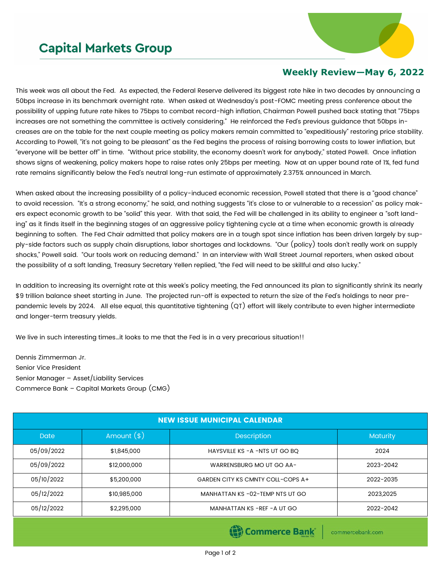## **Capital Markets Group**



## **Weekly Review—May 6, 2022**

This week was all about the Fed. As expected, the Federal Reserve delivered its biggest rate hike in two decades by announcing a 50bps increase in its benchmark overnight rate. When asked at Wednesday's post-FOMC meeting press conference about the possibility of upping future rate hikes to 75bps to combat record-high inflation, Chairman Powell pushed back stating that "75bps increases are not something the committee is actively considering." He reinforced the Fed's previous guidance that 50bps increases are on the table for the next couple meeting as policy makers remain committed to "expeditiously" restoring price stability. According to Powell, "it's not going to be pleasant" as the Fed begins the process of raising borrowing costs to lower inflation, but "everyone will be better off" in time. "Without price stability, the economy doesn't work for anybody," stated Powell. Once inflation shows signs of weakening, policy makers hope to raise rates only 25bps per meeting. Now at an upper bound rate of 1%, fed fund rate remains significantly below the Fed's neutral long-run estimate of approximately 2.375% announced in March.

When asked about the increasing possibility of a policy-induced economic recession, Powell stated that there is a "good chance" to avoid recession. "It's a strong economy," he said, and nothing suggests "it's close to or vulnerable to a recession" as policy makers expect economic growth to be "solid" this year. With that said, the Fed will be challenged in its ability to engineer a "soft landing" as it finds itself in the beginning stages of an aggressive policy tightening cycle at a time when economic growth is already beginning to soften. The Fed Chair admitted that policy makers are in a tough spot since inflation has been driven largely by supply-side factors such as supply chain disruptions, labor shortages and lockdowns. "Our (policy) tools don't really work on supply shocks," Powell said. "Our tools work on reducing demand." In an interview with Wall Street Journal reporters, when asked about the possibility of a soft landing, Treasury Secretary Yellen replied, "the Fed will need to be skillful and also lucky."

In addition to increasing its overnight rate at this week's policy meeting, the Fed announced its plan to significantly shrink its nearly \$9 trillion balance sheet starting in June. The projected run-off is expected to return the size of the Fed's holdings to near prepandemic levels by 2024. All else equal, this quantitative tightening (QT) effort will likely contribute to even higher intermediate and longer-term treasury yields.

We live in such interesting times…it looks to me that the Fed is in a very precarious situation!!

Dennis Zimmerman Jr. Senior Vice President Senior Manager – Asset/Liability Services Commerce Bank – Capital Markets Group (CMG)

| <b>NEW ISSUE MUNICIPAL CALENDAR</b> |              |                                   |                 |  |  |  |
|-------------------------------------|--------------|-----------------------------------|-----------------|--|--|--|
| <b>Date</b>                         | Amount $(*)$ | <b>Description</b>                | <b>Maturity</b> |  |  |  |
| 05/09/2022                          | \$1,845,000  | HAYSVILLE KS - A -NTS UT GO BQ    | 2024            |  |  |  |
| 05/09/2022                          | \$12,000,000 | WARRENSBURG MO UT GO AA-          | 2023-2042       |  |  |  |
| 05/10/2022                          | \$5,200,000  | GARDEN CITY KS CMNTY COLL-COPS A+ | 2022-2035       |  |  |  |
| 05/12/2022                          | \$10,985,000 | MANHATTAN KS-02-TEMP NTS UT GO    | 2023.2025       |  |  |  |
| 05/12/2022                          | \$2,295,000  | MANHATTAN KS -REF - A UT GO       | 2022-2042       |  |  |  |

Commerce Bank

commercebank.com